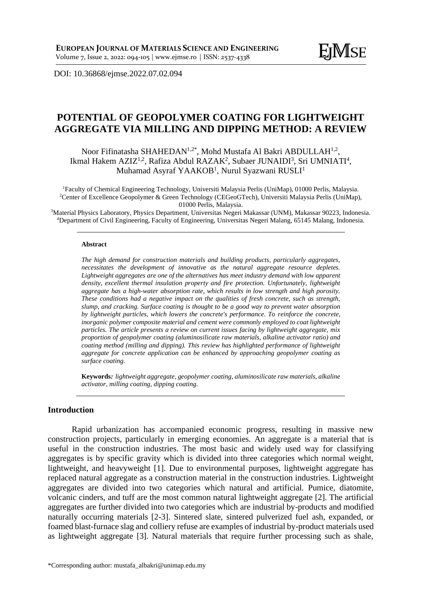DOI: [10.36868/ejmse.2022.07.02.09](http://ejmse.ro/articles/07_02_02_EJMSE-22-161.pdf)4

# **POTENTIAL OF GEOPOLYMER COATING FOR LIGHTWEIGHT AGGREGATE VIA MILLING AND DIPPING METHOD: A REVIEW**

Noor Fifinatasha SHAHEDAN<sup>1,2\*</sup>, Mohd Mustafa Al Bakri ABDULLAH<sup>1,2</sup>, Ikmal Hakem AZIZ<sup>1,2</sup>, Rafiza Abdul RAZAK<sup>2</sup>, Subaer JUNAIDI<sup>3</sup>, Sri UMNIATI<sup>4</sup>, Muhamad Asyraf YAAKOB<sup>1</sup>, Nurul Syazwani RUSLI<sup>1</sup>

<sup>1</sup>Faculty of Chemical Engineering Technology, Universiti Malaysia Perlis (UniMap), 01000 Perlis, Malaysia. <sup>2</sup>Center of Excellence Geopolymer & Green Technology (CEGeoGTech), Universiti Malaysia Perlis (UniMap), 01000 Perlis, Malaysia.

<sup>3</sup>Material Physics Laboratory, Physics Department, Universitas Negeri Makassar (UNM), Makassar 90223, Indonesia. <sup>4</sup>Department of Civil Engineering, Faculty of Engineering, Universitas Negeri Malang, 65145 Malang, Indonesia.

#### **Abstract**

*The high demand for construction materials and building products, particularly aggregates, necessitates the development of innovative as the natural aggregate resource depletes. Lightweight aggregates are one of the alternatives has meet industry demand with low apparent density, excellent thermal insulation property and fire protection. Unfortunately, lightweight aggregate has a high-water absorption rate, which results in low strength and high porosity. These conditions had a negative impact on the qualities of fresh concrete, such as strength, slump, and cracking. Surface coating is thought to be a good way to prevent water absorption by lightweight particles, which lowers the concrete's performance. To reinforce the concrete, inorganic polymer composite material and cement were commonly employed to coat lightweight particles. The article presents a review on current issues facing by lightweight aggregate, mix proportion of geopolymer coating (aluminosilicate raw materials, alkaline activator ratio) and coating method (milling and dipping). This review has highlighted performance of lightweight aggregate for concrete application can be enhanced by approaching geopolymer coating as surface coating.*

**Keywords***: lightweight aggregate, geopolymer coating, aluminosilicate raw materials, alkaline activator, milling coating, dipping coating.*

## **Introduction**

Rapid urbanization has accompanied economic progress, resulting in massive new construction projects, particularly in emerging economies. An aggregate is a material that is useful in the construction industries. The most basic and widely used way for classifying aggregates is by specific gravity which is divided into three categories which normal weight, lightweight, and heavyweight [1]. Due to environmental purposes, lightweight aggregate has replaced natural aggregate as a construction material in the construction industries. Lightweight aggregates are divided into two categories which natural and artificial. Pumice, diatomite, volcanic cinders, and tuff are the most common natural lightweight aggregate [2]. The artificial aggregates are further divided into two categories which are industrial by-products and modified naturally occurring materials [2-3]. Sintered slate, sintered pulverized fuel ash, expanded, or foamed blast-furnace slag and colliery refuse are examples of industrial by-product materials used as lightweight aggregate [3]. Natural materials that require further processing such as shale,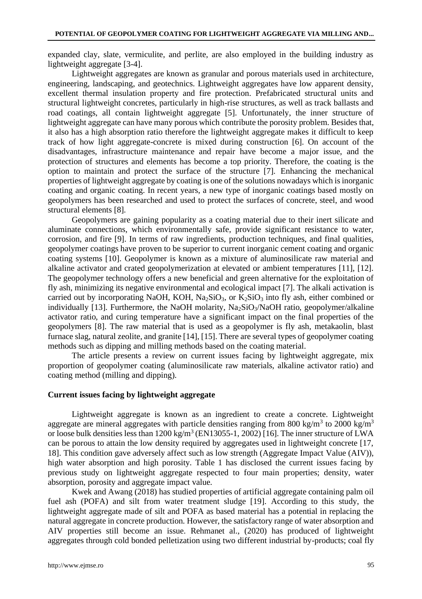expanded clay, slate, vermiculite, and perlite, are also employed in the building industry as lightweight aggregate [3-4].

Lightweight aggregates are known as granular and porous materials used in architecture, engineering, landscaping, and geotechnics. Lightweight aggregates have low apparent density, excellent thermal insulation property and fire protection. Prefabricated structural units and structural lightweight concretes, particularly in high-rise structures, as well as track ballasts and road coatings, all contain lightweight aggregate [5]. Unfortunately, the inner structure of lightweight aggregate can have many porous which contribute the porosity problem. Besides that, it also has a high absorption ratio therefore the lightweight aggregate makes it difficult to keep track of how light aggregate-concrete is mixed during construction [6]. On account of the disadvantages, infrastructure maintenance and repair have become a major issue, and the protection of structures and elements has become a top priority. Therefore, the coating is the option to maintain and protect the surface of the structure [7]. Enhancing the mechanical properties of lightweight aggregate by coating is one of the solutions nowadays which is inorganic coating and organic coating. In recent years, a new type of inorganic coatings based mostly on geopolymers has been researched and used to protect the surfaces of concrete, steel, and wood structural elements [8].

Geopolymers are gaining popularity as a coating material due to their inert silicate and aluminate connections, which environmentally safe, provide significant resistance to water, corrosion, and fire [9]. In terms of raw ingredients, production techniques, and final qualities, geopolymer coatings have proven to be superior to current inorganic cement coating and organic coating systems [10]. Geopolymer is known as a mixture of aluminosilicate raw material and alkaline activator and crated geopolymerization at elevated or ambient temperatures [11], [12]. The geopolymer technology offers a new beneficial and green alternative for the exploitation of fly ash, minimizing its negative environmental and ecological impact [7]. The alkali activation is carried out by incorporating NaOH, KOH, Na<sub>2</sub>SiO<sub>3</sub>, or K<sub>2</sub>SiO<sub>3</sub> into fly ash, either combined or individually [13]. Furthermore, the NaOH molarity,  $Na<sub>2</sub>SiO<sub>3</sub>/NaOH$  ratio, geopolymer/alkaline activator ratio, and curing temperature have a significant impact on the final properties of the geopolymers [8]. The raw material that is used as a geopolymer is fly ash, metakaolin, blast furnace slag, natural zeolite, and granite [14], [15]. There are several types of geopolymer coating methods such as dipping and milling methods based on the coating material.

The article presents a review on current issues facing by lightweight aggregate, mix proportion of geopolymer coating (aluminosilicate raw materials, alkaline activator ratio) and coating method (milling and dipping).

## **Current issues facing by lightweight aggregate**

Lightweight aggregate is known as an ingredient to create a concrete. Lightweight aggregate are mineral aggregates with particle densities ranging from 800 kg/m<sup>3</sup> to 2000 kg/m<sup>3</sup> or loose bulk densities less than  $1200 \text{ kg/m}^3$  (EN13055-1, 2002) [16]. The inner structure of LWA can be porous to attain the low density required by aggregates used in lightweight concrete [17, 18]. This condition gave adversely affect such as low strength (Aggregate Impact Value (AIV)), high water absorption and high porosity. Table 1 has disclosed the current issues facing by previous study on lightweight aggregate respected to four main properties; density, water absorption, porosity and aggregate impact value.

Kwek and Awang (2018) has studied properties of artificial aggregate containing palm oil fuel ash (POFA) and silt from water treatment sludge [19]. According to this study, the lightweight aggregate made of silt and POFA as based material has a potential in replacing the natural aggregate in concrete production. However, the satisfactory range of water absorption and AIV properties still become an issue. Rehmanet al., (2020) has produced of lightweight aggregates through cold bonded pelletization using two different industrial by-products; coal fly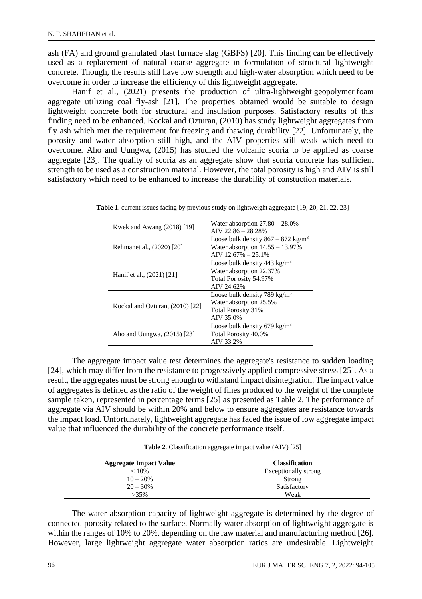ash (FA) and ground granulated blast furnace slag (GBFS) [20]. This finding can be effectively used as a replacement of natural coarse aggregate in formulation of structural lightweight concrete. Though, the results still have low strength and high-water absorption which need to be overcome in order to increase the efficiency of this lightweight aggregate.

Hanif et al., (2021) presents the production of ultra-lightweight geopolymer foam aggregate utilizing coal fly-ash [21]. The properties obtained would be suitable to design lightweight concrete both for structural and insulation purposes. Satisfactory results of this finding need to be enhanced. Kockal and Ozturan, (2010) has study lightweight aggregates from fly ash which met the requirement for freezing and thawing durability [22]. Unfortunately, the porosity and water absorption still high, and the AIV properties still weak which need to overcome. Aho and Uungwa, (2015) has studied the volcanic scoria to be applied as coarse aggregate [23]. The quality of scoria as an aggregate show that scoria concrete has sufficient strength to be used as a construction material. However, the total porosity is high and AIV is still satisfactory which need to be enhanced to increase the durability of constuction materials.

| Kwek and Awang (2018) [19]      | Water absorption $27.80 - 28.0\%$<br>$AV 22.86 - 28.28\%$                                                        |  |
|---------------------------------|------------------------------------------------------------------------------------------------------------------|--|
| Rehmanet al., (2020) [20]       | Loose bulk density $867 - 872$ kg/m <sup>3</sup><br>Water absorption $14.55 - 13.97\%$<br>AIV $12.67\% - 25.1\%$ |  |
| Hanif et al., (2021) [21]       | Loose bulk density $443 \text{ kg/m}^3$<br>Water absorption 22.37%<br>Total Por osity 54.97%<br>AIV 24.62%       |  |
| Kockal and Ozturan, (2010) [22] | Loose bulk density 789 kg/m <sup>3</sup><br>Water absorption 25.5%<br>Total Porosity 31%<br>AIV 35.0%            |  |
| Aho and Uungwa, (2015) [23]     | Loose bulk density 679 kg/m <sup>3</sup><br>Total Porosity 40.0%<br>AIV 33.2%                                    |  |

**Table 1**. current issues facing by previous study on lightweight aggregate [19, 20, 21, 22, 23]

The aggregate impact value test determines the aggregate's resistance to sudden loading [24], which may differ from the resistance to progressively applied compressive stress [25]. As a result, the aggregates must be strong enough to withstand impact disintegration. The impact value of aggregates is defined as the ratio of the weight of fines produced to the weight of the complete sample taken, represented in percentage terms [25] as presented as Table 2. The performance of aggregate via AIV should be within 20% and below to ensure aggregates are resistance towards the impact load. Unfortunately, lightweight aggregate has faced the issue of low aggregate impact value that influenced the durability of the concrete performance itself.

**Table 2**. Classification aggregate impact value (AIV) [25]

| <b>Aggregate Impact Value</b> | <b>Classification</b> |
|-------------------------------|-----------------------|
| $< 10\%$                      | Exceptionally strong  |
| $10 - 20%$                    | Strong                |
| $20 - 30%$                    | Satisfactory          |
| $>35\%$                       | Weak                  |

The water absorption capacity of lightweight aggregate is determined by the degree of connected porosity related to the surface. Normally water absorption of lightweight aggregate is within the ranges of 10% to 20%, depending on the raw material and manufacturing method [26]. However, large lightweight aggregate water absorption ratios are undesirable. Lightweight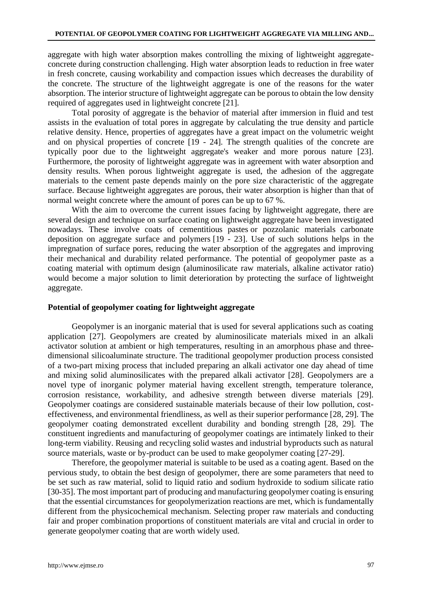aggregate with high water absorption makes controlling the mixing of lightweight aggregateconcrete during construction challenging. High water absorption leads to reduction in free water in fresh concrete, causing workability and compaction issues which decreases the durability of the concrete. The structure of the lightweight aggregate is one of the reasons for the water absorption. The interior structure of lightweight aggregate can be porous to obtain the low density required of aggregates used in lightweight concrete [21].

Total porosity of aggregate is the behavior of material after immersion in fluid and test assists in the evaluation of total pores in aggregate by calculating the true density and particle relative density. Hence, properties of aggregates have a great impact on the volumetric weight and on physical properties of concrete [19 - 24]. The strength qualities of the concrete are typically poor due to the lightweight aggregate's weaker and more porous nature [23]. Furthermore, the porosity of lightweight aggregate was in agreement with water absorption and density results. When porous lightweight aggregate is used, the adhesion of the aggregate materials to the cement paste depends mainly on the pore size characteristic of the aggregate surface. Because lightweight aggregates are porous, their water absorption is higher than that of normal weight concrete where the amount of pores can be up to 67 %.

With the aim to overcome the current issues facing by lightweight aggregate, there are several design and technique on surface coating on lightweight aggregate have been investigated nowadays. These involve coats of cementitious pastes or pozzolanic materials carbonate deposition on aggregate surface and polymers [19 - 23]. Use of such solutions helps in the impregnation of surface pores, reducing the water absorption of the aggregates and improving their mechanical and durability related performance. The potential of geopolymer paste as a coating material with optimum design (aluminosilicate raw materials, alkaline activator ratio) would become a major solution to limit deterioration by protecting the surface of lightweight aggregate.

## **Potential of geopolymer coating for lightweight aggregate**

Geopolymer is an inorganic material that is used for several applications such as coating application [27]. Geopolymers are created by aluminosilicate materials mixed in an alkali activator solution at ambient or high temperatures, resulting in an amorphous phase and threedimensional silicoaluminate structure. The traditional geopolymer production process consisted of a two-part mixing process that included preparing an alkali activator one day ahead of time and mixing solid aluminosilicates with the prepared alkali activator [28]. Geopolymers are a novel type of inorganic polymer material having excellent strength, temperature tolerance, corrosion resistance, workability, and adhesive strength between diverse materials [29]. Geopolymer coatings are considered sustainable materials because of their low pollution, costeffectiveness, and environmental friendliness, as well as their superior performance [28, 29]. The geopolymer coating demonstrated excellent durability and bonding strength [28, 29]. The constituent ingredients and manufacturing of geopolymer coatings are intimately linked to their long-term viability. Reusing and recycling solid wastes and industrial byproducts such as natural source materials, waste or by-product can be used to make geopolymer coating [27-29].

Therefore, the geopolymer material is suitable to be used as a coating agent. Based on the pervious study, to obtain the best design of geopolymer, there are some parameters that need to be set such as raw material, solid to liquid ratio and sodium hydroxide to sodium silicate ratio [30-35]. The most important part of producing and manufacturing geopolymer coating is ensuring that the essential circumstances for geopolymerization reactions are met, which is fundamentally different from the physicochemical mechanism. Selecting proper raw materials and conducting fair and proper combination proportions of constituent materials are vital and crucial in order to generate geopolymer coating that are worth widely used.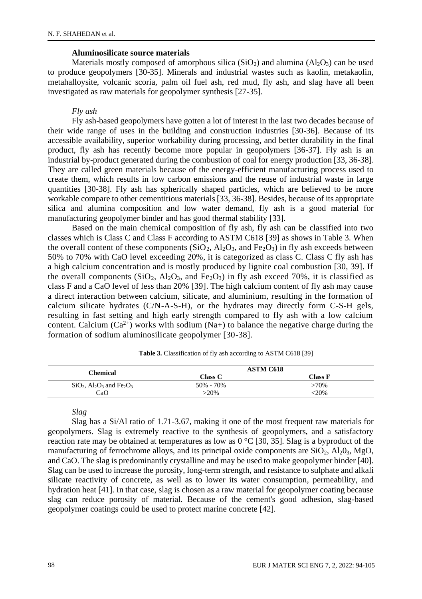### **Aluminosilicate source materials**

Materials mostly composed of amorphous silica  $(SiO<sub>2</sub>)$  and alumina  $(A<sub>1</sub>O<sub>3</sub>)$  can be used to produce geopolymers [30-35]. Minerals and industrial wastes such as kaolin, metakaolin, metahalloysite, volcanic scoria, palm oil fuel ash, red mud, fly ash, and slag have all been investigated as raw materials for geopolymer synthesis [27-35].

## *Fly ash*

Fly ash-based geopolymers have gotten a lot of interest in the last two decades because of their wide range of uses in the building and construction industries [30-36]. Because of its accessible availability, superior workability during processing, and better durability in the final product, fly ash has recently become more popular in geopolymers [36-37]. Fly ash is an industrial by-product generated during the combustion of coal for energy production [33, 36-38]. They are called green materials because of the energy-efficient manufacturing process used to create them, which results in low carbon emissions and the reuse of industrial waste in large quantities [30-38]. Fly ash has spherically shaped particles, which are believed to be more workable compare to other cementitious materials [33, 36-38]. Besides, because of its appropriate silica and alumina composition and low water demand, fly ash is a good material for manufacturing geopolymer binder and has good thermal stability [33].

Based on the main chemical composition of fly ash, fly ash can be classified into two classes which is Class C and Class F according to ASTM C618 [39] as shows in Table 3. When the overall content of these components  $(SiO_2, Al_2O_3, and Fe_2O_3)$  in fly ash exceeds between 50% to 70% with CaO level exceeding 20%, it is categorized as class C. Class C fly ash has a high calcium concentration and is mostly produced by lignite coal combustion [30, 39]. If the overall components  $(SiO<sub>2</sub>, Al<sub>2</sub>O<sub>3</sub>)$ , and Fe<sub>2</sub>O<sub>3</sub>) in fly ash exceed 70%, it is classified as class F and a CaO level of less than 20% [39]. The high calcium content of fly ash may cause a direct interaction between calcium, silicate, and aluminium, resulting in the formation of calcium silicate hydrates (C/N-A-S-H), or the hydrates may directly form C-S-H gels, resulting in fast setting and high early strength compared to fly ash with a low calcium content. Calcium ( $Ca^{2+}$ ) works with sodium (Na+) to balance the negative charge during the formation of sodium aluminosilicate geopolymer [30-38].

| Chemical                                                                   | <b>ASTM C618</b> |         |
|----------------------------------------------------------------------------|------------------|---------|
|                                                                            | Class C          | Class F |
| $SiO2$ , Al <sub>2</sub> O <sub>3</sub> and Fe <sub>2</sub> O <sub>3</sub> | 50% - 70%        | >70%    |
| CaO                                                                        | $>20\%$          | $-20%$  |

**Table 3.** Classification of fly ash according to ASTM C618 [39]

*Slag*

Slag has a Si/Al ratio of 1.71-3.67, making it one of the most frequent raw materials for geopolymers. Slag is extremely reactive to the synthesis of geopolymers, and a satisfactory reaction rate may be obtained at temperatures as low as  $0^{\circ}C$  [30, 35]. Slag is a byproduct of the manufacturing of ferrochrome alloys, and its principal oxide components are  $SiO_2$ ,  $Al_2O_3$ ,  $MgO$ , and CaO. The slag is predominantly crystalline and may be used to make geopolymer binder [40]. Slag can be used to increase the porosity, long-term strength, and resistance to sulphate and alkali silicate reactivity of concrete, as well as to lower its water consumption, permeability, and hydration heat [41]. In that case, slag is chosen as a raw material for geopolymer coating because slag can reduce porosity of material. Because of the cement's good adhesion, slag-based geopolymer coatings could be used to protect marine concrete [42].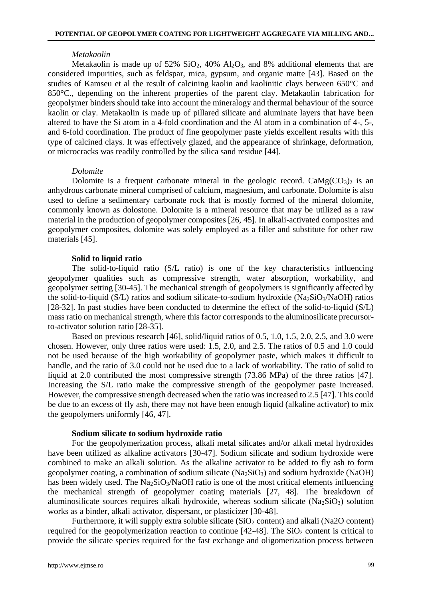#### *Metakaolin*

Metakaolin is made up of 52%  $SiO_2$ , 40%  $Al_2O_3$ , and 8% additional elements that are considered impurities, such as feldspar, mica, gypsum, and organic matte [43]. Based on the studies of Kamseu et al the result of calcining kaolin and kaolinitic clays between 650°C and 850°C., depending on the inherent properties of the parent clay. Metakaolin fabrication for geopolymer binders should take into account the mineralogy and thermal behaviour of the source kaolin or clay. Metakaolin is made up of pillared silicate and aluminate layers that have been altered to have the Si atom in a 4-fold coordination and the Al atom in a combination of 4-, 5-, and 6-fold coordination. The product of fine geopolymer paste yields excellent results with this type of calcined clays. It was effectively glazed, and the appearance of shrinkage, deformation, or microcracks was readily controlled by the silica sand residue [44].

#### *Dolomite*

Dolomite is a frequent carbonate mineral in the geologic record.  $\text{CaMg(CO<sub>3</sub>)}_2$  is an anhydrous carbonate mineral comprised of calcium, magnesium, and carbonate. Dolomite is also used to define a sedimentary carbonate rock that is mostly formed of the mineral dolomite, commonly known as dolostone. Dolomite is a mineral resource that may be utilized as a raw material in the production of geopolymer composites [26, 45]. In alkali-activated composites and geopolymer composites, dolomite was solely employed as a filler and substitute for other raw materials [45].

#### **Solid to liquid ratio**

The solid-to-liquid ratio (S/L ratio) is one of the key characteristics influencing geopolymer qualities such as compressive strength, water absorption, workability, and geopolymer setting [30-45]. The mechanical strength of geopolymers is significantly affected by the solid-to-liquid (S/L) ratios and sodium silicate-to-sodium hydroxide (Na<sub>2</sub>SiO<sub>3</sub>/NaOH) ratios [28-32]. In past studies have been conducted to determine the effect of the solid-to-liquid (S/L) mass ratio on mechanical strength, where this factor corresponds to the aluminosilicate precursorto-activator solution ratio [28-35].

Based on previous research [46], solid/liquid ratios of 0.5, 1.0, 1.5, 2.0, 2.5, and 3.0 were chosen. However, only three ratios were used: 1.5, 2.0, and 2.5. The ratios of 0.5 and 1.0 could not be used because of the high workability of geopolymer paste, which makes it difficult to handle, and the ratio of 3.0 could not be used due to a lack of workability. The ratio of solid to liquid at 2.0 contributed the most compressive strength (73.86 MPa) of the three ratios [47]. Increasing the S/L ratio make the compressive strength of the geopolymer paste increased. However, the compressive strength decreased when the ratio was increased to 2.5 [47]. This could be due to an excess of fly ash, there may not have been enough liquid (alkaline activator) to mix the geopolymers uniformly [46, 47].

### **Sodium silicate to sodium hydroxide ratio**

For the geopolymerization process, alkali metal silicates and/or alkali metal hydroxides have been utilized as alkaline activators [30-47]. Sodium silicate and sodium hydroxide were combined to make an alkali solution. As the alkaline activator to be added to fly ash to form geopolymer coating, a combination of sodium silicate  $(Na_2SiO_3)$  and sodium hydroxide (NaOH) has been widely used. The  $Na_2SiO_3/NaOH$  ratio is one of the most critical elements influencing the mechanical strength of geopolymer coating materials [27, 48]. The breakdown of aluminosilicate sources requires alkali hydroxide, whereas sodium silicate ( $Na<sub>2</sub>SiO<sub>3</sub>$ ) solution works as a binder, alkali activator, dispersant, or plasticizer [30-48].

Furthermore, it will supply extra soluble silicate  $(SiO<sub>2</sub> content)$  and alkali (Na2O content) required for the geopolymerization reaction to continue  $[42-48]$ . The  $SiO<sub>2</sub>$  content is critical to provide the silicate species required for the fast exchange and oligomerization process between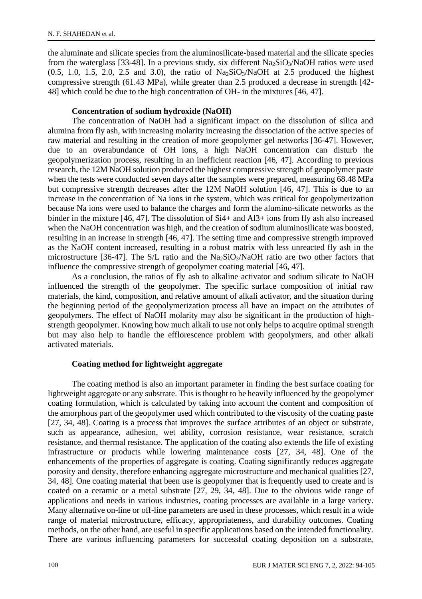the aluminate and silicate species from the aluminosilicate-based material and the silicate species from the waterglass [33-48]. In a previous study, six different  $Na<sub>2</sub>SiO<sub>3</sub>/NaOH$  ratios were used  $(0.5, 1.0, 1.5, 2.0, 2.5, and 3.0)$ , the ratio of Na<sub>2</sub>SiO<sub>3</sub>/NaOH at 2.5 produced the highest compressive strength (61.43 MPa), while greater than 2.5 produced a decrease in strength [42- 48] which could be due to the high concentration of OH- in the mixtures [46, 47].

## **Concentration of sodium hydroxide (NaOH)**

The concentration of NaOH had a significant impact on the dissolution of silica and alumina from fly ash, with increasing molarity increasing the dissociation of the active species of raw material and resulting in the creation of more geopolymer gel networks [36-47]. However, due to an overabundance of OH ions, a high NaOH concentration can disturb the geopolymerization process, resulting in an inefficient reaction [46, 47]. According to previous research, the 12M NaOH solution produced the highest compressive strength of geopolymer paste when the tests were conducted seven days after the samples were prepared, measuring 68.48 MPa but compressive strength decreases after the 12M NaOH solution [46, 47]. This is due to an increase in the concentration of Na ions in the system, which was critical for geopolymerization because Na ions were used to balance the charges and form the alumino-silicate networks as the binder in the mixture [46, 47]. The dissolution of Si4+ and Al3+ ions from fly ash also increased when the NaOH concentration was high, and the creation of sodium aluminosilicate was boosted, resulting in an increase in strength [46, 47]. The setting time and compressive strength improved as the NaOH content increased, resulting in a robust matrix with less unreacted fly ash in the microstructure [36-47]. The S/L ratio and the  $\text{Na}_2\text{SiO}_3/\text{NaOH}$  ratio are two other factors that influence the compressive strength of geopolymer coating material [46, 47].

As a conclusion, the ratios of fly ash to alkaline activator and sodium silicate to NaOH influenced the strength of the geopolymer. The specific surface composition of initial raw materials, the kind, composition, and relative amount of alkali activator, and the situation during the beginning period of the geopolymerization process all have an impact on the attributes of geopolymers. The effect of NaOH molarity may also be significant in the production of highstrength geopolymer. Knowing how much alkali to use not only helps to acquire optimal strength but may also help to handle the efflorescence problem with geopolymers, and other alkali activated materials.

## **Coating method for lightweight aggregate**

The coating method is also an important parameter in finding the best surface coating for lightweight aggregate or any substrate. This is thought to be heavily influenced by the geopolymer coating formulation, which is calculated by taking into account the content and composition of the amorphous part of the geopolymer used which contributed to the viscosity of the coating paste [27, 34, 48]. Coating is a process that improves the surface attributes of an object or substrate, such as appearance, adhesion, wet ability, corrosion resistance, wear resistance, scratch resistance, and thermal resistance. The application of the coating also extends the life of existing infrastructure or products while lowering maintenance costs [27, 34, 48]. One of the enhancements of the properties of aggregate is coating. Coating significantly reduces aggregate porosity and density, therefore enhancing aggregate microstructure and mechanical qualities [27, 34, 48]. One coating material that been use is geopolymer that is frequently used to create and is coated on a ceramic or a metal substrate [27, 29, 34, 48]. Due to the obvious wide range of applications and needs in various industries, coating processes are available in a large variety. Many alternative on-line or off-line parameters are used in these processes, which result in a wide range of material microstructure, efficacy, appropriateness, and durability outcomes. Coating methods, on the other hand, are useful in specific applications based on the intended functionality. There are various influencing parameters for successful coating deposition on a substrate,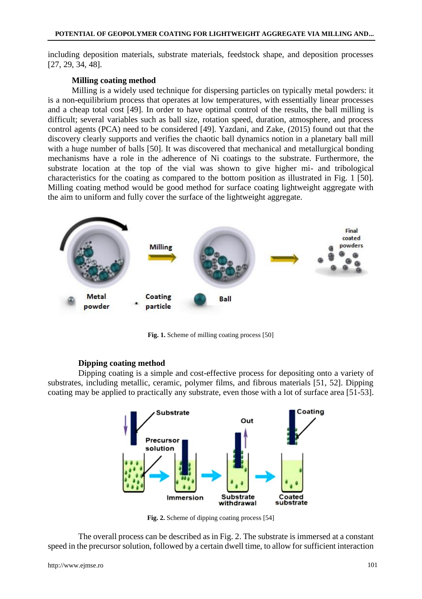including deposition materials, substrate materials, feedstock shape, and deposition processes [27, 29, 34, 48].

## **Milling coating method**

Milling is a widely used technique for dispersing particles on typically metal powders: it is a non-equilibrium process that operates at low temperatures, with essentially linear processes and a cheap total cost [49]. In order to have optimal control of the results, the ball milling is difficult; several variables such as ball size, rotation speed, duration, atmosphere, and process control agents (PCA) need to be considered [49]. Yazdani, and Zake, (2015) found out that the discovery clearly supports and verifies the chaotic ball dynamics notion in a planetary ball mill with a huge number of balls [50]. It was discovered that mechanical and metallurgical bonding mechanisms have a role in the adherence of Ni coatings to the substrate. Furthermore, the substrate location at the top of the vial was shown to give higher mi- and tribological characteristics for the coating as compared to the bottom position as illustrated in Fig. 1 [50]. Milling coating method would be good method for surface coating lightweight aggregate with the aim to uniform and fully cover the surface of the lightweight aggregate.



Fig. 1. Scheme of milling coating process [50]

## **Dipping coating method**

Dipping coating is a simple and cost-effective process for depositing onto a variety of substrates, including metallic, ceramic, polymer films, and fibrous materials [51, 52]. Dipping coating may be applied to practically any substrate, even those with a lot of surface area [51-53].



**Fig. 2.** Scheme of dipping coating process [54]

The overall process can be described as in Fig. 2. The substrate is immersed at a constant speed in the precursor solution, followed by a certain dwell time, to allow for sufficient interaction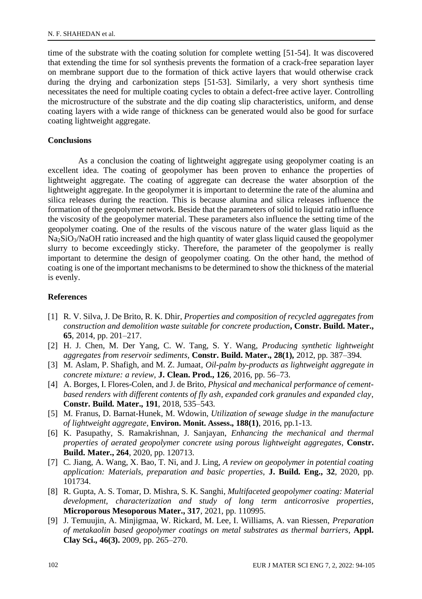time of the substrate with the coating solution for complete wetting [51-54]. It was discovered that extending the time for sol synthesis prevents the formation of a crack-free separation layer on membrane support due to the formation of thick active layers that would otherwise crack during the drying and carbonization steps [51-53]. Similarly, a very short synthesis time necessitates the need for multiple coating cycles to obtain a defect-free active layer. Controlling the microstructure of the substrate and the dip coating slip characteristics, uniform, and dense coating layers with a wide range of thickness can be generated would also be good for surface coating lightweight aggregate.

## **Conclusions**

As a conclusion the coating of lightweight aggregate using geopolymer coating is an excellent idea. The coating of geopolymer has been proven to enhance the properties of lightweight aggregate. The coating of aggregate can decrease the water absorption of the lightweight aggregate. In the geopolymer it is important to determine the rate of the alumina and silica releases during the reaction. This is because alumina and silica releases influence the formation of the geopolymer network. Beside that the parameters of solid to liquid ratio influence the viscosity of the geopolymer material. These parameters also influence the setting time of the geopolymer coating. One of the results of the viscous nature of the water glass liquid as the Na2SiO3/NaOH ratio increased and the high quantity of water glass liquid caused the geopolymer slurry to become exceedingly sticky. Therefore, the parameter of the geopolymer is really important to determine the design of geopolymer coating. On the other hand, the method of coating is one of the important mechanisms to be determined to show the thickness of the material is evenly.

## **References**

- [1] R. V. Silva, J. De Brito, R. K. Dhir, *Properties and composition of recycled aggregates from construction and demolition waste suitable for concrete production***, Constr. Build. Mater., 65**, 2014, pp. 201–217.
- [2] H. J. Chen, M. Der Yang, C. W. Tang, S. Y. Wang, *Producing synthetic lightweight aggregates from reservoir sediments*, **Constr. Build. Mater., 28(1),** 2012, pp. 387–394.
- [3] M. Aslam, P. Shafigh, and M. Z. Jumaat*, Oil-palm by-products as lightweight aggregate in concrete mixture: a review*, **J. Clean. Prod., 126**, 2016, pp. 56–73.
- [4] A. Borges, I. Flores-Colen, and J. de Brito, *Physical and mechanical performance of cementbased renders with different contents of fly ash, expanded cork granules and expanded clay*, **Constr. Build. Mater., 191**, 2018, 535–543.
- [5] M. Franus, D. Barnat-Hunek, M. Wdowin, *Utilization of sewage sludge in the manufacture of lightweight aggregate*, **Environ. Monit. Assess., 188(1)**, 2016, pp.1-13.
- [6] K. Pasupathy, S. Ramakrishnan, J. Sanjayan, *Enhancing the mechanical and thermal properties of aerated geopolymer concrete using porous lightweight aggregates*, **Constr. Build. Mater., 264**, 2020, pp. 120713.
- [7] C. Jiang, A. Wang, X. Bao, T. Ni, and J. Ling, *A review on geopolymer in potential coating application: Materials, preparation and basic properties*, **J. Build. Eng., 32**, 2020, pp. 101734.
- [8] R. Gupta, A. S. Tomar, D. Mishra, S. K. Sanghi, *Multifaceted geopolymer coating: Material development, characterization and study of long term anticorrosive properties*, **Microporous Mesoporous Mater., 317**, 2021, pp. 110995.
- [9] J. Temuujin, A. Minjigmaa, W. Rickard, M. Lee, I. Williams, A. van Riessen, *Preparation of metakaolin based geopolymer coatings on metal substrates as thermal barriers*, **Appl. Clay Sci., 46(3).** 2009, pp. 265–270.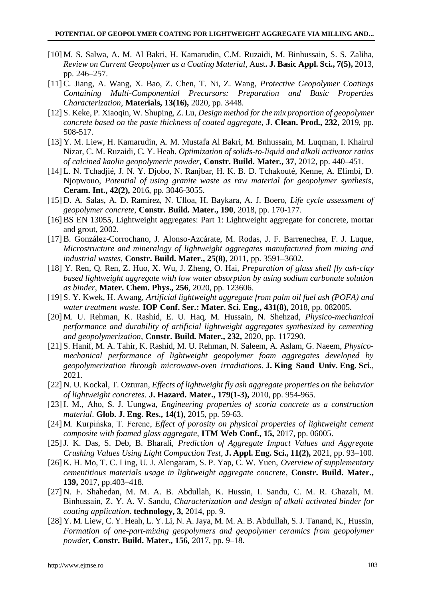- [10] M. S. Salwa, A. M. Al Bakri, H. Kamarudin, C.M. Ruzaidi, M. Binhussain, S. S. Zaliha, *Review on Current Geopolymer as a Coating Material*, Aust**. J. Basic Appl. Sci., 7(5),** 2013, pp. 246–257.
- [11] C. Jiang, A. Wang, X. Bao, Z. Chen, T. Ni, Z. Wang, *Protective Geopolymer Coatings Containing Multi-Componential Precursors: Preparation and Basic Properties Characterization*, **Materials, 13(16),** 2020, pp. 3448.
- [12]S. Keke, P. Xiaoqin, W. Shuping, Z. Lu, *Design method for the mix proportion of geopolymer concrete based on the paste thickness of coated aggregate*, **J. Clean. Prod., 232**, 2019, pp. 508-517.
- [13] Y. M. Liew, H. Kamarudin, A. M. Mustafa Al Bakri, M. Bnhussain, M. Luqman, I. Khairul Nizar, C. M. Ruzaidi, C. Y. Heah. *Optimization of solids-to-liquid and alkali activator ratios of calcined kaolin geopolymeric powder*, **Constr. Build. Mater., 37**, 2012, pp. 440–451.
- [14] L. N. Tchadjié, J. N. Y. Djobo, N. Ranjbar, H. K. B. D. Tchakouté, Kenne, A. Elimbi, D. Njopwouo, *Potential of using granite waste as raw material for geopolymer synthesis*, **Ceram. Int., 42(2),** 2016, pp. 3046-3055.
- [15] D. A. Salas, A. D. Ramirez, N. Ulloa, H. Baykara, A. J. Boero, *Life cycle assessment of geopolymer concrete*, **Constr. Build. Mater., 190**, 2018, pp. 170-177.
- [16] BS EN 13055, Lightweight aggregates: Part 1: Lightweight aggregate for concrete, mortar and grout, 2002.
- [17] B. González-Corrochano, J. Alonso-Azcárate, M. Rodas, J. F. Barrenechea, F. J. Luque, *Microstructure and mineralogy of lightweight aggregates manufactured from mining and industrial wastes*, **Constr. Build. Mater., 25(8)**, 2011, pp. 3591–3602.
- [18] Y. Ren, Q. Ren, Z. Huo, X. Wu, J. Zheng, O. Hai, *Preparation of glass shell fly ash-clay based lightweight aggregate with low water absorption by using sodium carbonate solution as binder*, **Mater. Chem. Phys., 256**, 2020, pp. 123606.
- [19]S. Y. Kwek, H. Awang, *Artificial lightweight aggregate from palm oil fuel ash (POFA) and water treatment waste.* **IOP Conf. Ser.: Mater. Sci. Eng., 431(8),** 2018, pp. 082005.
- [20] M. U. Rehman, K. Rashid, E. U. Haq, M. Hussain, N. Shehzad, *Physico-mechanical performance and durability of artificial lightweight aggregates synthesized by cementing and geopolymerization*, **Constr. Build. Mater., 232,** 2020, pp. 117290.
- [21]S. Hanif, M. A. Tahir, K. Rashid, M. U. Rehman, N. Saleem, A. Aslam, G. Naeem, *Physicomechanical performance of lightweight geopolymer foam aggregates developed by geopolymerization through microwave-oven irradiations*. **J. King Saud Univ. Eng. Sci**., 2021.
- [22] N. U. Kockal, T. Ozturan, *Effects of lightweight fly ash aggregate properties on the behavior of lightweight concretes*. **J. Hazard. Mater., 179(1-3),** 2010, pp. 954-965.
- [23] I. M., Aho, S. J. Uungwa, *Engineering properties of scoria concrete as a construction material*. **Glob. J. Eng. Res., 14(1)**, 2015, pp. 59-63.
- [24] M. Kurpińska, T. Ferenc, *Effect of porosity on physical properties of lightweight cement composite with foamed glass aggregate*, **ITM Web Conf., 15,** 2017, pp. 06005.
- [25]J. K. Das, S. Deb, B. Bharali, *Prediction of Aggregate Impact Values and Aggregate Crushing Values Using Light Compaction Test*, **J. Appl. Eng. Sci., 11(2),** 2021, pp. 93–100.
- [26] K. H. Mo, T. C. Ling, U. J. Alengaram, S. P. Yap, C. W. Yuen, *Overview of supplementary cementitious materials usage in lightweight aggregate concrete*, **Constr. Build. Mater., 139,** 2017, pp.403–418.
- [27] N. F. Shahedan, M. M. A. B. Abdullah, K. Hussin, I. Sandu, C. M. R. Ghazali, M. Binhussain, Z. Y. A. V. Sandu, *Characterization and design of alkali activated binder for coating application*. **technology, 3,** 2014, pp. 9.
- [28] Y. M. Liew, C. Y. Heah, L. Y. Li, N. A. Jaya, M. M. A. B. Abdullah, S. J. Tanand, K., Hussin, *Formation of one-part-mixing geopolymers and geopolymer ceramics from geopolymer powder*, **Constr. Build. Mater., 156,** 2017, pp. 9–18.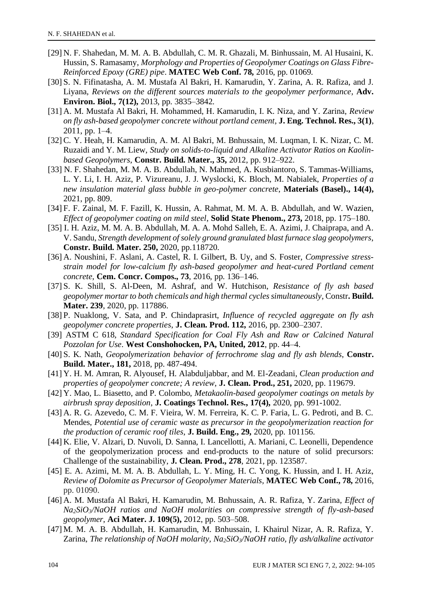- [29] N. F. Shahedan, M. M. A. B. Abdullah, C. M. R. Ghazali, M. Binhussain, M. Al Husaini, K. Hussin, S. Ramasamy, *Morphology and Properties of Geopolymer Coatings on Glass Fibre-Reinforced Epoxy (GRE) pipe*. **MATEC Web Conf. 78,** 2016, pp. 01069.
- [30] S. N. Fifinatasha, A. M. Mustafa Al Bakri, H. Kamarudin, Y. Zarina, A. R. Rafiza, and J. Liyana, *Reviews on the different sources materials to the geopolymer performance*, **Adv. Environ. Biol., 7(12),** 2013, pp. 3835–3842.
- [31] A. M. Mustafa Al Bakri, H. Mohammed, H. Kamarudin, I. K. Niza, and Y. Zarina, *Review on fly ash-based geopolymer concrete without portland cement*, **J. Eng. Technol. Res., 3(1)**, 2011, pp. 1–4.
- [32] C. Y. Heah, H. Kamarudin, A. M. Al Bakri, M. Bnhussain, M. Luqman, I. K. Nizar, C. M. Ruzaidi and Y. M. Liew, *Study on solids-to-liquid and Alkaline Activator Ratios on Kaolinbased Geopolymers*, **Constr. Build. Mater., 35,** 2012, pp. 912–922.
- [33] N. F. Shahedan, M. M. A. B. Abdullah, N. Mahmed, A. Kusbiantoro, S. Tammas-Williams, L. Y. Li, I. H. Aziz, P. Vizureanu, J. J. Wyslocki, K. Bloch, M. Nabialek, *Properties of a new insulation material glass bubble in geo-polymer concrete*, **Materials (Basel)., 14(4),** 2021, pp. 809.
- [34]F. F. Zainal, M. F. Fazill, K. Hussin, A. Rahmat, M. M. A. B. Abdullah, and W. Wazien, *Effect of geopolymer coating on mild steel*, **Solid State Phenom., 273,** 2018, pp. 175–180.
- [35] I. H. Aziz, M. M. A. B. Abdullah, M. A. A. Mohd Salleh, E. A. Azimi, J. Chaiprapa, and A. V. Sandu, *Strength development of solely ground granulated blast furnace slag geopolymers*, **Constr. Build. Mater. 250,** 2020, pp.118720.
- [36] A. Noushini, F. Aslani, A. Castel, R. I. Gilbert, B. Uy, and S. Foster, *Compressive stressstrain model for low-calcium fly ash-based geopolymer and heat-cured Portland cement concrete*, **Cem. Concr. Compos., 73**, 2016, pp. 136–146.
- [37]S. K. Shill, S. Al-Deen, M. Ashraf, and W. Hutchison, *Resistance of fly ash based geopolymer mortar to both chemicals and high thermal cycles simultaneously*, Constr**. Build. Mater. 239**, 2020, pp. 117886.
- [38]P. Nuaklong, V. Sata, and P. Chindaprasirt, *Influence of recycled aggregate on fly ash geopolymer concrete properties*, **J. Clean. Prod. 112,** 2016, pp. 2300–2307.
- [39] ASTM C 618, *Standard Specification for Coal Fly Ash and Raw or Calcined Natural Pozzolan for Use*. **West Conshohocken, PA, United, 2012**, pp. 44–4.
- [40]S. K. Nath, *Geopolymerization behavior of ferrochrome slag and fly ash blends*, **Constr. Build. Mater., 181,** 2018, pp. 487-494.
- [41] Y. H. M. Amran, R. Alyousef, H. Alabduljabbar, and M. El-Zeadani, *Clean production and properties of geopolymer concrete; A review*, **J. Clean. Prod., 251,** 2020, pp. 119679.
- [42] Y. Mao, L. Biasetto, and P. Colombo, *Metakaolin-based geopolymer coatings on metals by airbrush spray deposition*, **J. Coatings Technol. Res., 17(4),** 2020, pp. 991-1002.
- [43] A. R. G. Azevedo, C. M. F. Vieira, W. M. Ferreira, K. C. P. Faria, L. G. Pedroti, and B. C. Mendes, *Potential use of ceramic waste as precursor in the geopolymerization reaction for the production of ceramic roof tiles*, **J. Build. Eng., 29,** 2020, pp. 101156.
- [44] K. Elie, V. Alzari, D. Nuvoli, D. Sanna, I. Lancellotti, A. Mariani, C. Leonelli, Dependence of the geopolymerization process and end-products to the nature of solid precursors: Challenge of the sustainability, **J. Clean. Prod., 278**, 2021, pp. 123587.
- [45] E. A. Azimi, M. M. A. B. Abdullah, L. Y. Ming, H. C. Yong, K. Hussin, and I. H. Aziz, *Review of Dolomite as Precursor of Geopolymer Materials*, **MATEC Web Conf., 78,** 2016, pp. 01090.
- [46] A. M. Mustafa Al Bakri, H. Kamarudin, M. Bnhussain, A. R. Rafiza, Y. Zarina, *Effect of Na2SiO3/NaOH ratios and NaOH molarities on compressive strength of fly-ash-based geopolymer*, **Aci Mater. J. 109(5),** 2012, pp. 503–508.
- [47] M. M. A. B. Abdullah, H. Kamarudin, M. Bnhussain, I. Khairul Nizar, A. R. Rafiza, Y. Zarina, *The relationship of NaOH molarity, Na2SiO3/NaOH ratio, fly ash/alkaline activator*